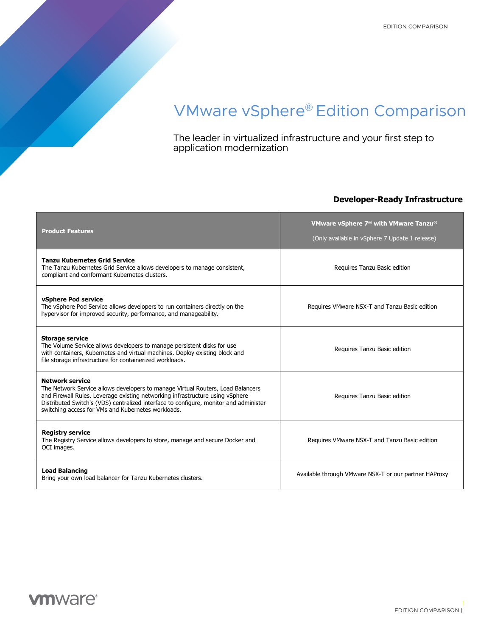# VMware vSphere® Edition Comparison

The leader in virtualized infrastructure and your first step to application modernization

## **Developer-Ready Infrastructure**

| <b>Product Features</b>                                                                                                                                                                                                                                                                                                                   | VMware vSphere 7 <sup>®</sup> with VMware Tanzu <sup>®</sup><br>(Only available in vSphere 7 Update 1 release) |  |
|-------------------------------------------------------------------------------------------------------------------------------------------------------------------------------------------------------------------------------------------------------------------------------------------------------------------------------------------|----------------------------------------------------------------------------------------------------------------|--|
| <b>Tanzu Kubernetes Grid Service</b><br>The Tanzu Kubernetes Grid Service allows developers to manage consistent,<br>compliant and conformant Kubernetes clusters.                                                                                                                                                                        | Requires Tanzu Basic edition                                                                                   |  |
| vSphere Pod service<br>The vSphere Pod Service allows developers to run containers directly on the<br>hypervisor for improved security, performance, and manageability.                                                                                                                                                                   | Requires VMware NSX-T and Tanzu Basic edition                                                                  |  |
| <b>Storage service</b><br>The Volume Service allows developers to manage persistent disks for use<br>with containers, Kubernetes and virtual machines. Deploy existing block and<br>file storage infrastructure for containerized workloads.                                                                                              | Requires Tanzu Basic edition                                                                                   |  |
| <b>Network service</b><br>The Network Service allows developers to manage Virtual Routers, Load Balancers<br>and Firewall Rules. Leverage existing networking infrastructure using vSphere<br>Distributed Switch's (VDS) centralized interface to configure, monitor and administer<br>switching access for VMs and Kubernetes workloads. | Requires Tanzu Basic edition                                                                                   |  |
| <b>Registry service</b><br>The Registry Service allows developers to store, manage and secure Docker and<br>OCI images.                                                                                                                                                                                                                   | Requires VMware NSX-T and Tanzu Basic edition                                                                  |  |
| <b>Load Balancing</b><br>Bring your own load balancer for Tanzu Kubernetes clusters.                                                                                                                                                                                                                                                      | Available through VMware NSX-T or our partner HAProxy                                                          |  |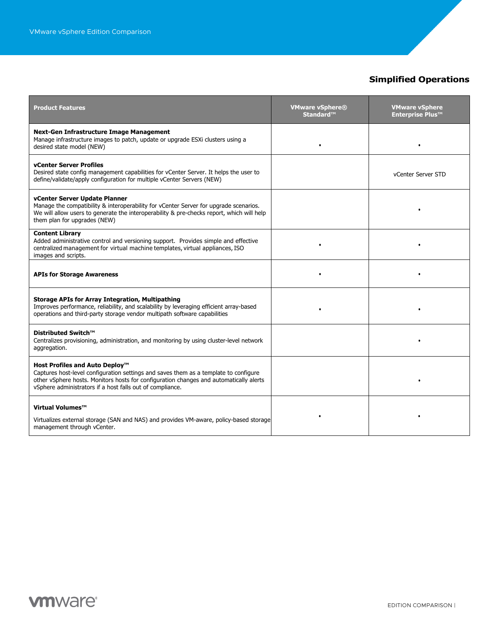# **Simplified Operations**

| <b>Product Features</b>                                                                                                                                                                                                                                                       | <b>VMware vSphere®</b><br>Standard™ | <b>VMware vSphere</b><br><b>Enterprise Plus™</b> |
|-------------------------------------------------------------------------------------------------------------------------------------------------------------------------------------------------------------------------------------------------------------------------------|-------------------------------------|--------------------------------------------------|
| <b>Next-Gen Infrastructure Image Management</b><br>Manage infrastructure images to patch, update or upgrade ESXi clusters using a<br>desired state model (NEW)                                                                                                                | $\bullet$                           |                                                  |
| <b>vCenter Server Profiles</b><br>Desired state config management capabilities for vCenter Server. It helps the user to<br>define/validate/apply configuration for multiple vCenter Servers (NEW)                                                                             |                                     | vCenter Server STD                               |
| vCenter Server Update Planner<br>Manage the compatibility & interoperability for vCenter Server for upgrade scenarios.<br>We will allow users to generate the interoperability & pre-checks report, which will help<br>them plan for upgrades (NEW)                           |                                     |                                                  |
| <b>Content Library</b><br>Added administrative control and versioning support. Provides simple and effective<br>centralized management for virtual machine templates, virtual appliances, ISO<br>images and scripts.                                                          | ٠                                   |                                                  |
| <b>APIs for Storage Awareness</b>                                                                                                                                                                                                                                             |                                     |                                                  |
| <b>Storage APIs for Array Integration, Multipathing</b><br>Improves performance, reliability, and scalability by leveraging efficient array-based<br>operations and third-party storage vendor multipath software capabilities                                                |                                     |                                                  |
| Distributed Switch™<br>Centralizes provisioning, administration, and monitoring by using cluster-level network<br>aggregation.                                                                                                                                                |                                     |                                                  |
| Host Profiles and Auto Deploy™<br>Captures host-level configuration settings and saves them as a template to configure<br>other vSphere hosts. Monitors hosts for configuration changes and automatically alerts<br>vSphere administrators if a host falls out of compliance. |                                     |                                                  |
| Virtual Volumes™<br>Virtualizes external storage (SAN and NAS) and provides VM-aware, policy-based storage<br>management through vCenter.                                                                                                                                     |                                     |                                                  |

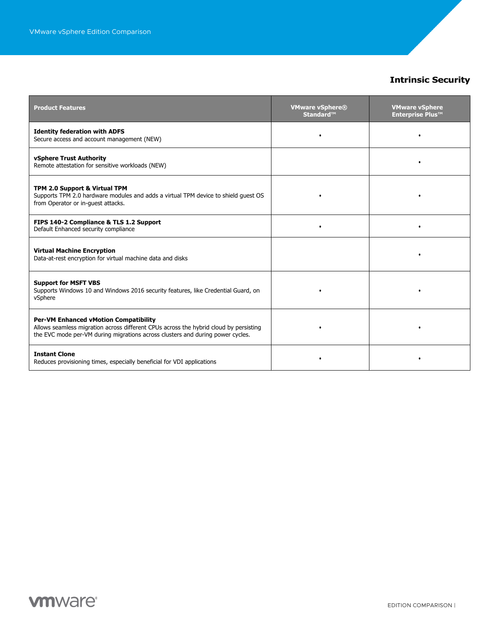## **Intrinsic Security**

| <b>Product Features</b>                                                                                                                                                                                                 | <b>VMware vSphere®</b><br>Standard™ | <b>VMware vSphere</b><br><b>Enterprise Plus™</b> |
|-------------------------------------------------------------------------------------------------------------------------------------------------------------------------------------------------------------------------|-------------------------------------|--------------------------------------------------|
| <b>Identity federation with ADFS</b><br>Secure access and account management (NEW)                                                                                                                                      |                                     |                                                  |
| vSphere Trust Authority<br>Remote attestation for sensitive workloads (NEW)                                                                                                                                             |                                     |                                                  |
| TPM 2.0 Support & Virtual TPM<br>Supports TPM 2.0 hardware modules and adds a virtual TPM device to shield guest OS<br>from Operator or in-guest attacks.                                                               |                                     |                                                  |
| FIPS 140-2 Compliance & TLS 1.2 Support<br>Default Enhanced security compliance                                                                                                                                         |                                     |                                                  |
| <b>Virtual Machine Encryption</b><br>Data-at-rest encryption for virtual machine data and disks                                                                                                                         |                                     |                                                  |
| <b>Support for MSFT VBS</b><br>Supports Windows 10 and Windows 2016 security features, like Credential Guard, on<br>vSphere                                                                                             |                                     |                                                  |
| <b>Per-VM Enhanced vMotion Compatibility</b><br>Allows seamless migration across different CPUs across the hybrid cloud by persisting<br>the EVC mode per-VM during migrations across clusters and during power cycles. |                                     |                                                  |
| <b>Instant Clone</b><br>Reduces provisioning times, especially beneficial for VDI applications                                                                                                                          |                                     |                                                  |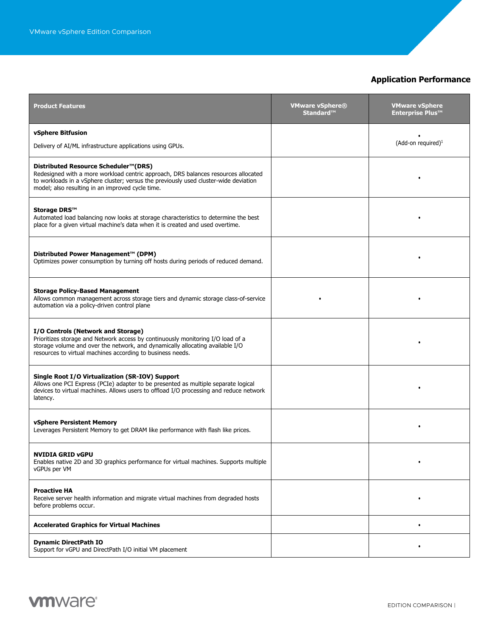## **Application Performance**

| <b>Product Features</b>                                                                                                                                                                                                                                                | <b>VMware vSphere®</b><br>Standard™ | <b>VMware vSphere</b><br><b>Enterprise Plus™</b> |
|------------------------------------------------------------------------------------------------------------------------------------------------------------------------------------------------------------------------------------------------------------------------|-------------------------------------|--------------------------------------------------|
| vSphere Bitfusion<br>Delivery of AI/ML infrastructure applications using GPUs.                                                                                                                                                                                         |                                     | (Add-on required) <sup>1</sup>                   |
|                                                                                                                                                                                                                                                                        |                                     |                                                  |
| Distributed Resource Scheduler™(DRS)<br>Redesigned with a more workload centric approach, DRS balances resources allocated<br>to workloads in a vSphere cluster; versus the previously used cluster-wide deviation<br>model; also resulting in an improved cycle time. |                                     |                                                  |
| Storage DRS™<br>Automated load balancing now looks at storage characteristics to determine the best<br>place for a given virtual machine's data when it is created and used overtime.                                                                                  |                                     |                                                  |
| Distributed Power Management™ (DPM)<br>Optimizes power consumption by turning off hosts during periods of reduced demand.                                                                                                                                              |                                     |                                                  |
| <b>Storage Policy-Based Management</b><br>Allows common management across storage tiers and dynamic storage class-of-service<br>automation via a policy-driven control plane                                                                                           |                                     |                                                  |
| I/O Controls (Network and Storage)<br>Prioritizes storage and Network access by continuously monitoring I/O load of a<br>storage volume and over the network, and dynamically allocating available I/O<br>resources to virtual machines according to business needs.   |                                     |                                                  |
| Single Root I/O Virtualization (SR-IOV) Support<br>Allows one PCI Express (PCIe) adapter to be presented as multiple separate logical<br>devices to virtual machines. Allows users to offload I/O processing and reduce network<br>latency.                            |                                     |                                                  |
| <b>vSphere Persistent Memory</b><br>Leverages Persistent Memory to get DRAM like performance with flash like prices.                                                                                                                                                   |                                     |                                                  |
| NVIDIA GRID vGPU<br>Enables native 2D and 3D graphics performance for virtual machines. Supports multiple<br>vGPUs per VM                                                                                                                                              |                                     |                                                  |
| <b>Proactive HA</b><br>Receive server health information and migrate virtual machines from degraded hosts<br>before problems occur.                                                                                                                                    |                                     |                                                  |
| <b>Accelerated Graphics for Virtual Machines</b>                                                                                                                                                                                                                       |                                     | $\bullet$                                        |
| <b>Dynamic DirectPath IO</b><br>Support for vGPU and DirectPath I/O initial VM placement                                                                                                                                                                               |                                     |                                                  |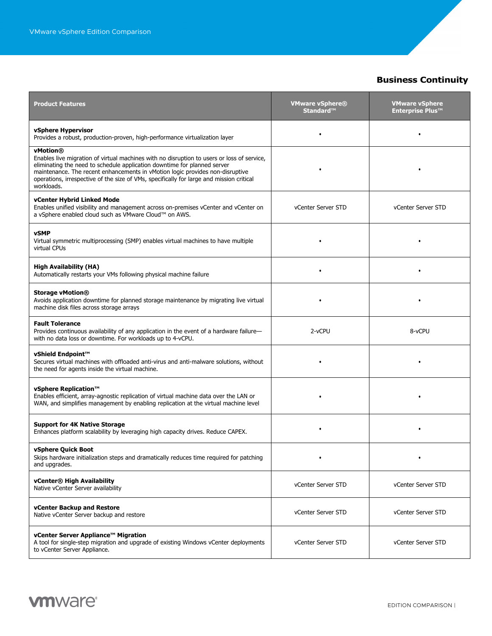## **Business Continuity**

| <b>Product Features</b>                                                                                                                                                                                                                                                                                                                                                       | <b>VMware vSphere®</b><br>Standard™ | <b>VMware vSphere</b><br><b>Enterprise Plus™</b> |
|-------------------------------------------------------------------------------------------------------------------------------------------------------------------------------------------------------------------------------------------------------------------------------------------------------------------------------------------------------------------------------|-------------------------------------|--------------------------------------------------|
| vSphere Hypervisor<br>Provides a robust, production-proven, high-performance virtualization layer                                                                                                                                                                                                                                                                             |                                     |                                                  |
| vMotion®<br>Enables live migration of virtual machines with no disruption to users or loss of service,<br>eliminating the need to schedule application downtime for planned server<br>maintenance. The recent enhancements in vMotion logic provides non-disruptive<br>operations, irrespective of the size of VMs, specifically for large and mission critical<br>workloads. |                                     |                                                  |
| vCenter Hybrid Linked Mode<br>Enables unified visibility and management across on-premises vCenter and vCenter on<br>a vSphere enabled cloud such as VMware Cloud™ on AWS.                                                                                                                                                                                                    | vCenter Server STD                  | vCenter Server STD                               |
| <b>vSMP</b><br>Virtual symmetric multiprocessing (SMP) enables virtual machines to have multiple<br>virtual CPUs                                                                                                                                                                                                                                                              |                                     |                                                  |
| <b>High Availability (HA)</b><br>Automatically restarts your VMs following physical machine failure                                                                                                                                                                                                                                                                           |                                     |                                                  |
| <b>Storage vMotion®</b><br>Avoids application downtime for planned storage maintenance by migrating live virtual<br>machine disk files across storage arrays                                                                                                                                                                                                                  |                                     |                                                  |
| <b>Fault Tolerance</b><br>Provides continuous availability of any application in the event of a hardware failure-<br>with no data loss or downtime. For workloads up to 4-vCPU.                                                                                                                                                                                               | 2-vCPU                              | 8-vCPU                                           |
| vShield Endpoint™<br>Secures virtual machines with offloaded anti-virus and anti-malware solutions, without<br>the need for agents inside the virtual machine.                                                                                                                                                                                                                |                                     |                                                  |
| vSphere Replication™<br>Enables efficient, array-agnostic replication of virtual machine data over the LAN or<br>WAN, and simplifies management by enabling replication at the virtual machine level                                                                                                                                                                          |                                     |                                                  |
| <b>Support for 4K Native Storage</b><br>Enhances platform scalability by leveraging high capacity drives. Reduce CAPEX.                                                                                                                                                                                                                                                       |                                     |                                                  |
| vSphere Ouick Boot<br>Skips hardware initialization steps and dramatically reduces time required for patching<br>and upgrades.                                                                                                                                                                                                                                                |                                     |                                                  |
| vCenter® High Availability<br>Native vCenter Server availability                                                                                                                                                                                                                                                                                                              | vCenter Server STD                  | vCenter Server STD                               |
| vCenter Backup and Restore<br>Native vCenter Server backup and restore                                                                                                                                                                                                                                                                                                        | vCenter Server STD                  | vCenter Server STD                               |
| vCenter Server Appliance™ Migration<br>A tool for single-step migration and upgrade of existing Windows vCenter deployments<br>to vCenter Server Appliance.                                                                                                                                                                                                                   | vCenter Server STD                  | vCenter Server STD                               |